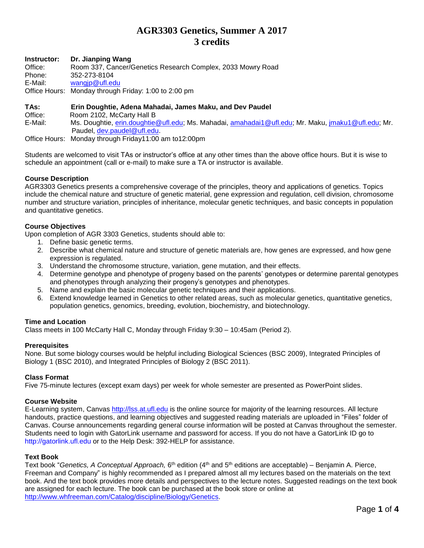# **AGR3303 Genetics, Summer A 2017 3 credits**

**Instructor: Dr. Jianping Wang** Office: Room 337, Cancer/Genetics Research Complex, 2033 Mowry Road Phone: 352-273-8104 E-Mail: [wangjp@ufl.edu](mailto:wangjp@ufl.edu) Office Hours: Monday through Friday: 1:00 to 2:00 pm

# **TAs: Erin Doughtie, Adena Mahadai, James Maku, and Dev Paudel**

Office: Room 2102, McCarty Hall B

E-Mail: Ms. Doughtie, [erin.doughtie@ufl.edu;](mailto:erin.doughtie@ufl.edu) Ms. Mahadai, [amahadai1@ufl.edu;](mailto:amahadai1@ufl.edu) Mr. Maku, [jmaku1@ufl.edu;](mailto:jmaku1@ufl.edu) Mr. Paudel, [dev.paudel@ufl.edu.](mailto:dev.paudel@ufl.edu)

Office Hours: Monday through Friday11:00 am to12:00pm

Students are welcomed to visit TAs or instructor's office at any other times than the above office hours. But it is wise to schedule an appointment (call or e-mail) to make sure a TA or instructor is available.

# **Course Description**

AGR3303 Genetics presents a comprehensive coverage of the principles, theory and applications of genetics. Topics include the chemical nature and structure of genetic material, gene expression and regulation, cell division, chromosome number and structure variation, principles of inheritance, molecular genetic techniques, and basic concepts in population and quantitative genetics.

# **Course Objectives**

Upon completion of AGR 3303 Genetics, students should able to:

- 1. Define basic genetic terms.
- 2. Describe what chemical nature and structure of genetic materials are, how genes are expressed, and how gene expression is regulated.
- 3. Understand the chromosome structure, variation, gene mutation, and their effects.
- 4. Determine genotype and phenotype of progeny based on the parents' genotypes or determine parental genotypes and phenotypes through analyzing their progeny's genotypes and phenotypes.
- 5. Name and explain the basic molecular genetic techniques and their applications.
- 6. Extend knowledge learned in Genetics to other related areas, such as molecular genetics, quantitative genetics, population genetics, genomics, breeding, evolution, biochemistry, and biotechnology.

# **Time and Location**

Class meets in 100 McCarty Hall C, Monday through Friday 9:30 – 10:45am (Period 2).

# **Prerequisites**

None. But some biology courses would be helpful including Biological Sciences (BSC 2009), Integrated Principles of Biology 1 (BSC 2010), and Integrated Principles of Biology 2 (BSC 2011).

# **Class Format**

Five 75-minute lectures (except exam days) per week for whole semester are presented as PowerPoint slides.

# **Course Website**

E-Learning system, Canvas [http://lss.at.ufl.edu](http://lss.at.ufl.edu/) is the online source for majority of the learning resources. All lecture handouts, practice questions, and learning objectives and suggested reading materials are uploaded in "Files" folder of Canvas. Course announcements regarding general course information will be posted at Canvas throughout the semester. Students need to login with GatorLink username and password for access. If you do not have a GatorLink ID go to [http://gatorlink.ufl.edu](http://gatorlink.ufl.edu/) or to the Help Desk: 392-HELP for assistance.

# **Text Book**

Text book "Genetics, A Conceptual Approach, 6<sup>th</sup> edition (4<sup>th</sup> and 5<sup>th</sup> editions are acceptable) – Benjamin A. Pierce, Freeman and Company" is highly recommended as I prepared almost all my lectures based on the materials on the text book. And the text book provides more details and perspectives to the lecture notes. Suggested readings on the text book are assigned for each lecture. The book can be purchased at the book store or online at [http://www.whfreeman.com/Catalog/discipline/Biology/Genetics.](http://www.whfreeman.com/Catalog/discipline/Biology/Genetics)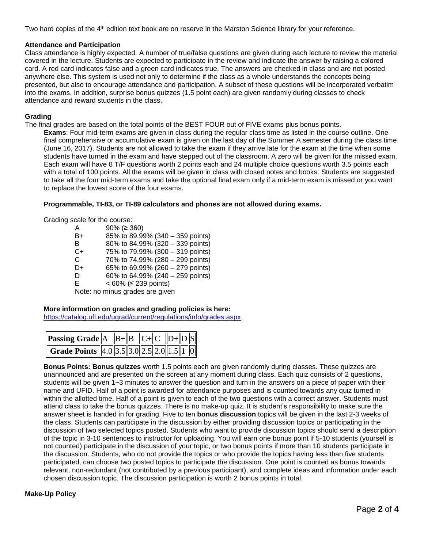Two hard copies of the 4<sup>th</sup> edition text book are on reserve in the Marston Science library for your reference.

# **Attendance and Participation**

Class attendance is highly expected. A number of true/false questions are given during each lecture to review the material covered in the lecture. Students are expected to participate in the review and indicate the answer by raising a colored card. A red card indicates false and a green card indicates true. The answers are checked in class and are not posted anywhere else. This system is used not only to determine if the class as a whole understands the concepts being presented, but also to encourage attendance and participation. A subset of these questions will be incorporated verbatim into the exams. In addition, surprise bonus quizzes (1.5 point each) are given randomly during classes to check attendance and reward students in the class.

### **Grading**

The final grades are based on the total points of the BEST FOUR out of FIVE exams plus bonus points.

**Exams**: Four mid-term exams are given in class during the regular class time as listed in the course outline. One final comprehensive or accumulative exam is given on the last day of the Summer A semester during the class time (June 16, 2017). Students are not allowed to take the exam if they arrive late for the exam at the time when some students have turned in the exam and have stepped out of the classroom. A zero will be given for the missed exam. Each exam will have 8 T/F questions worth 2 points each and 24 multiple choice questions worth 3.5 points each with a total of 100 points. All the exams will be given in class with closed notes and books. Students are suggested to take all the four mid-term exams and take the optional final exam only if a mid-term exam is missed or you want to replace the lowest score of the four exams.

#### **Programmable, TI-83, or TI-89 calculators and phones are not allowed during exams.**

Grading scale for the course:

| Α  | $90\%$ ( $\geq 360$ ) |                                  |  |
|----|-----------------------|----------------------------------|--|
|    |                       |                                  |  |
| B+ |                       | 85% to 89.99% (340 - 359 points) |  |
| в  |                       | 80% to 84.99% (320 - 339 points) |  |
| C+ |                       | 75% to 79.99% (300 - 319 points) |  |
| C  |                       | 70% to 74.99% (280 - 299 points) |  |
| D+ |                       | 65% to 69.99% (260 - 279 points) |  |
| D  |                       | 60% to 64.99% (240 - 259 points) |  |
| F. |                       | < 60% (≤ 239 points)             |  |
|    |                       |                                  |  |

Note: no minus grades are given

# **More information on grades and grading policies is here:**

<https://catalog.ufl.edu/ugrad/current/regulations/info/grades.aspx>

| <b>Passing Grade</b> $\overline{A}$ $\overline{B}$ $\overline{B}$ $\overline{C}$ $\overline{C}$ $\overline{D}$ $\overline{D}$ $\overline{S}$ |  |  |  |  |
|----------------------------------------------------------------------------------------------------------------------------------------------|--|--|--|--|
| Grade Points 4.0 3.5 3.0 2.5 2.0 1.5 1 0                                                                                                     |  |  |  |  |

**Bonus Points: Bonus quizzes** worth 1.5 points each are given randomly during classes. These quizzes are unannounced and are presented on the screen at any moment during class. Each quiz consists of 2 questions, students will be given 1~3 minutes to answer the question and turn in the answers on a piece of paper with their name and UFID. Half of a point is awarded for attendance purposes and is counted towards any quiz turned in within the allotted time. Half of a point is given to each of the two questions with a correct answer. Students must attend class to take the bonus quizzes. There is no make-up quiz. It is student's responsibility to make sure the answer sheet is handed in for grading. Five to ten **bonus discussion** topics will be given in the last 2-3 weeks of the class. Students can participate in the discussion by either providing discussion topics or participating in the discussion of two selected topics posted. Students who want to provide discussion topics should send a description of the topic in 3-10 sentences to instructor for uploading. You will earn one bonus point if 5-10 students (yourself is not counted) participate in the discussion of your topic, or two bonus points if more than 10 students participate in the discussion. Students, who do not provide the topics or who provide the topics having less than five students participated, can choose two posted topics to participate the discussion. One point is counted as bonus towards relevant, non-redundant (not contributed by a previous participant), and complete ideas and information under each chosen discussion topic. The discussion participation is worth 2 bonus points in total.

# **Make-Up Policy**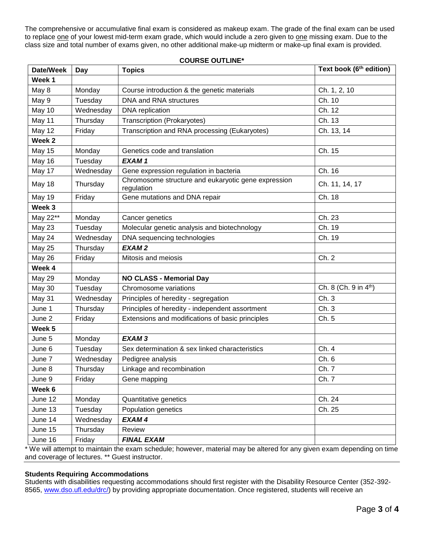The comprehensive or accumulative final exam is considered as makeup exam. The grade of the final exam can be used to replace one of your lowest mid-term exam grade, which would include a zero given to one missing exam. Due to the class size and total number of exams given, no other additional make-up midterm or make-up final exam is provided.

| Date/Week         | Day       | <b>Topics</b>                                                     | Text book (6 <sup>th</sup> edition) |
|-------------------|-----------|-------------------------------------------------------------------|-------------------------------------|
| Week 1            |           |                                                                   |                                     |
| May 8             | Monday    | Course introduction & the genetic materials                       | Ch. 1, 2, 10                        |
| May 9             | Tuesday   | DNA and RNA structures                                            | Ch. 10                              |
| May 10            | Wednesday | DNA replication                                                   | Ch. 12                              |
| May 11            | Thursday  | Transcription (Prokaryotes)                                       | Ch. 13                              |
| May 12            | Friday    | Transcription and RNA processing (Eukaryotes)                     | Ch. 13, 14                          |
| Week <sub>2</sub> |           |                                                                   |                                     |
| May 15            | Monday    | Genetics code and translation                                     | Ch. 15                              |
| May 16            | Tuesday   | EXAM1                                                             |                                     |
| May 17            | Wednesday | Gene expression regulation in bacteria                            | Ch. 16                              |
| May 18            | Thursday  | Chromosome structure and eukaryotic gene expression<br>regulation | Ch. 11, 14, 17                      |
| <b>May 19</b>     | Friday    | Gene mutations and DNA repair                                     | Ch. 18                              |
| Week <sub>3</sub> |           |                                                                   |                                     |
| May 22**          | Monday    | Cancer genetics                                                   | Ch. 23                              |
| <b>May 23</b>     | Tuesday   | Molecular genetic analysis and biotechnology                      | Ch. 19                              |
| May 24            | Wednesday | DNA sequencing technologies                                       | Ch. 19                              |
| <b>May 25</b>     | Thursday  | EXAM <sub>2</sub>                                                 |                                     |
| <b>May 26</b>     | Friday    | Mitosis and meiosis                                               | Ch. 2                               |
| Week 4            |           |                                                                   |                                     |
| May 29            | Monday    | <b>NO CLASS - Memorial Day</b>                                    |                                     |
| May 30            | Tuesday   | Chromosome variations                                             | Ch. 8 (Ch. 9 in 4 <sup>th</sup> )   |
| May 31            | Wednesday | Principles of heredity - segregation                              | Ch.3                                |
| June 1            | Thursday  | Principles of heredity - independent assortment                   | Ch. 3                               |
| June 2            | Friday    | Extensions and modifications of basic principles                  | Ch. 5                               |
| Week <sub>5</sub> |           |                                                                   |                                     |
| June 5            | Monday    | EXAM <sub>3</sub>                                                 |                                     |
| June 6            | Tuesday   | Sex determination & sex linked characteristics                    | Ch. 4                               |
| June 7            | Wednesday | Pedigree analysis                                                 | Ch. 6                               |
| June 8            | Thursday  | Linkage and recombination                                         | Ch. 7                               |
| June 9            | Friday    | Gene mapping                                                      | Ch. 7                               |
| Week 6            |           |                                                                   |                                     |
| June 12           | Monday    | Quantitative genetics                                             | Ch. 24                              |
| June 13           | Tuesday   | Population genetics                                               | Ch. 25                              |
| June 14           | Wednesday | EXAM4                                                             |                                     |
| June 15           | Thursday  | Review                                                            |                                     |
| June 16           | Friday    | <b>FINAL EXAM</b>                                                 |                                     |

# **COURSE OUTLINE\***

\* We will attempt to maintain the exam schedule; however, material may be altered for any given exam depending on time and coverage of lectures. \*\* Guest instructor.

# **Students Requiring Accommodations**

Students with disabilities requesting accommodations should first register with the Disability Resource Center (352-392 8565, [www.dso.ufl.edu/drc/\)](http://www.dso.ufl.edu/drc/) by providing appropriate documentation. Once registered, students will receive an